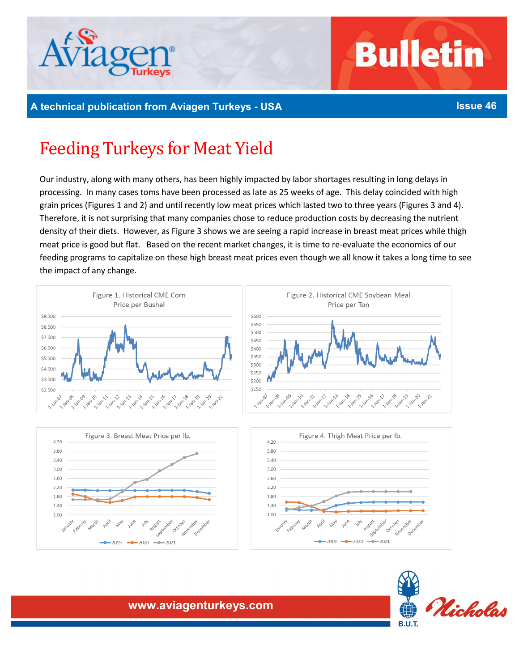

# **Bulletin**

## **A technical publication from Aviagen Turkeys - USA Issue 46**

# Feeding Turkeys for Meat Yield

Our industry, along with many others, has been highly impacted by labor shortages resulting in long delays in processing. In many cases toms have been processed as late as 25 weeks of age. This delay coincided with high grain prices (Figures 1 and 2) and until recently low meat prices which lasted two to three years (Figures 3 and 4). Therefore, it is not surprising that many companies chose to reduce production costs by decreasing the nutrient density of their diets. However, as Figure 3 shows we are seeing a rapid increase in breast meat prices while thigh meat price is good but flat. Based on the recent market changes, it is time to re-evaluate the economics of our feeding programs to capitalize on these high breast meat prices even though we all know it takes a long time to see the impact of any change.







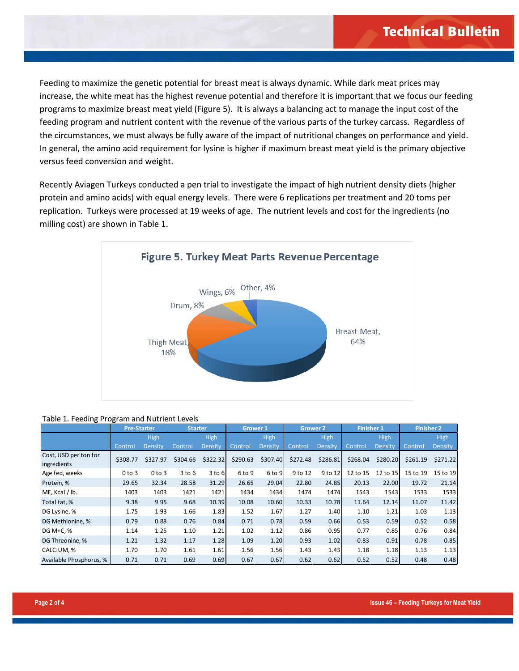Feeding to maximize the genetic potential for breast meat is always dynamic. While dark meat prices may increase, the white meat has the highest revenue potential and therefore it is important that we focus our feeding programs to maximize breast meat yield (Figure 5). It is always a balancing act to manage the input cost of the feeding program and nutrient content with the revenue of the various parts of the turkey carcass. Regardless of the circumstances, we must always be fully aware of the impact of nutritional changes on performance and yield. In general, the amino acid requirement for lysine is higher if maximum breast meat yield is the primary objective versus feed conversion and weight.

Recently Aviagen Turkeys conducted a pen trial to investigate the impact of high nutrient density diets (higher protein and amino acids) with equal energy levels. There were 6 replications per treatment and 20 toms per replication. Turkeys were processed at 19 weeks of age. The nutrient levels and cost for the ingredients (no milling cost) are shown in Table 1.



#### Table 1. Feeding Program and Nutrient Levels

|                                      | <b>Pre-Starter</b> |            | <b>Starter</b> |             | Grower 1 |             | <b>Grower 2</b> |             | <b>Finisher 1</b> |          | <b>Finisher 2</b> |             |
|--------------------------------------|--------------------|------------|----------------|-------------|----------|-------------|-----------------|-------------|-------------------|----------|-------------------|-------------|
|                                      |                    | High       |                | <b>High</b> |          | <b>High</b> |                 | <b>High</b> |                   | High     |                   | <b>High</b> |
|                                      | Control            | Density    | Control,       | Density     | Control  | Density     | Control         | Density     | Control           | Density  | Control           | Density     |
| Cost, USD per ton for<br>ingredients | \$308.77           | \$327.97   | \$304.66       | \$322.32    | \$290.63 | \$307.40    | \$272.48        | \$286.81    | \$268.04          | \$280.20 | \$261.19          | \$271.22    |
| Age fed, weeks                       | $0$ to $3$         | $0$ to $3$ | $3$ to $6$     | $3$ to $6$  | 6 to 9   | 6 to 9      | 9 to 12         | 9 to 12     | 12 to 15          | 12 to 15 | 15 to 19          | 15 to 19    |
| Protein, %                           | 29.65              | 32.34      | 28.58          | 31.29       | 26.65    | 29.04       | 22.80           | 24.85       | 20.13             | 22.00    | 19.72             | 21.14       |
| ME, Kcal / lb.                       | 1403               | 1403       | 1421           | 1421        | 1434     | 1434        | 1474            | 1474        | 1543              | 1543     | 1533              | 1533        |
| Total fat, %                         | 9.38               | 9.95       | 9.68           | 10.39       | 10.08    | 10.60       | 10.33           | 10.78       | 11.64             | 12.14    | 11.07             | 11.42       |
| DG Lysine, %                         | 1.75               | 1.93       | 1.66           | 1.83        | 1.52     | 1.67        | 1.27            | 1.40        | 1.10              | 1.21     | 1.03              | 1.13        |
| DG Methionine, %                     | 0.79               | 0.88       | 0.76           | 0.84        | 0.71     | 0.78        | 0.59            | 0.66        | 0.53              | 0.59     | 0.52              | 0.58        |
| DG M+C, %                            | 1.14               | 1.25       | 1.10           | 1.21        | 1.02     | 1.12        | 0.86            | 0.95        | 0.77              | 0.85     | 0.76              | 0.84        |
| <b>DG Threonine.</b> %               | 1.21               | 1.32       | 1.17           | 1.28        | 1.09     | 1.20        | 0.93            | 1.02        | 0.83              | 0.91     | 0.78              | 0.85        |
| CALCIUM, %                           | 1.70               | 1.70       | 1.61           | 1.61        | 1.56     | 1.56        | 1.43            | 1.43        | 1.18              | 1.18     | 1.13              | 1.13        |
| Available Phosphorus, %              | 0.71               | 0.71       | 0.69           | 0.69        | 0.67     | 0.67        | 0.62            | 0.62        | 0.52              | 0.52     | 0.48              | 0.48        |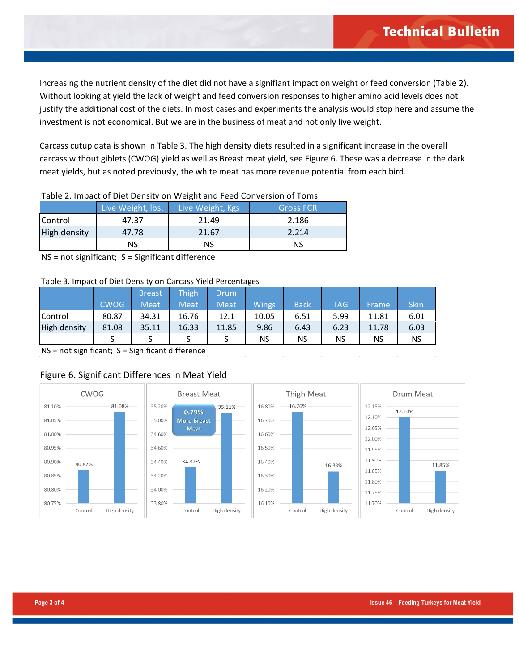Increasing the nutrient density of the diet did not have a signifiant impact on weight or feed conversion (Table 2). Without looking at yield the lack of weight and feed conversion responses to higher amino acid levels does not justify the additional cost of the diets. In most cases and experiments the analysis would stop here and assume the investment is not economical. But we are in the business of meat and not only live weight.

Carcass cutup data is shown in Table 3. The high density diets resulted in a significant increase in the overall carcass without giblets (CWOG) yield as well as Breast meat yield, see Figure 6. These was a decrease in the dark meat yields, but as noted previously, the white meat has more revenue potential from each bird.

| Table 2. Thipact of Diet Density on Weight and Feed Conversion of Tonis |                   |                  |                  |  |  |  |  |
|-------------------------------------------------------------------------|-------------------|------------------|------------------|--|--|--|--|
|                                                                         | Live Weight, lbs. | Live Weight, Kgs | <b>Gross FCR</b> |  |  |  |  |
| Control                                                                 | 47.37             | 21.49            | 2.186            |  |  |  |  |
| High density                                                            | 47.78             | 21.67            | 2.214            |  |  |  |  |
|                                                                         | NS                | NS               | NS               |  |  |  |  |

Table 2. Impact of Diet Density on Weight and Feed Conversion of Toms

NS = not significant; S = Significant difference

#### Table 3. Impact of Diet Density on Carcass Yield Percentages

|              |             |               |             |             | ັ            |             |            |       |             |
|--------------|-------------|---------------|-------------|-------------|--------------|-------------|------------|-------|-------------|
|              |             | <b>Breast</b> | Thigh       | Drum        |              |             |            |       |             |
|              | <b>CWOG</b> | <b>Meat</b>   | <b>Meat</b> | <b>Meat</b> | <b>Wings</b> | <b>Back</b> | <b>TAG</b> | Frame | <b>Skin</b> |
| Control      | 80.87       | 34.31         | 16.76       | 12.1        | 10.05        | 6.51        | 5.99       | 11.81 | 6.01        |
| High density | 81.08       | 35.11         | 16.33       | 11.85       | 9.86         | 6.43        | 6.23       | 11.78 | 6.03        |
|              |             |               |             |             | NS           | ΝS          | NS         | NS    | <b>NS</b>   |

NS = not significant; S = Significant difference

### Figure 6. Significant Differences in Meat Yield